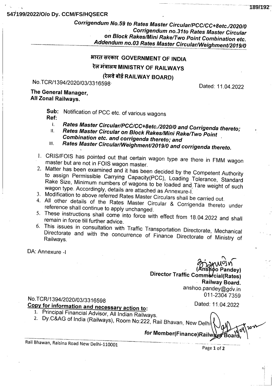## 547199/2022/O/o Dy. CCM/FS/HQSECR

Corrigendum No.59 to Rates Master Circular/PCC/CC+8etc./2020/0 **Corrigendum no.31to Rates Master Circular** on Block Rakes/Mini Rake/Two Point Combination etc. Addendum no.03 Rates Master Circular/Weighment/2019/0

# भारत सरकार GOVERNMENT OF INDIA

रेल मंत्रालय MINISTRY OF RAILWAYS

(रेलवे बोर्ड RAILWAY BOARD)

No.TCR/1394/2020/03/3316598

The General Manager, All Zonal Railways.

> Sub: Notification of PCC etc. of various wagons Ref:

- Rates Master Circular/PCC/CC+8etc./2020/0 and Corrigenda thereto;  $\mathbf{L}$
- Rates Master Circular on Block Rakes/Mini Rake/Two Point  $\Pi$ . Combination etc. and corrigenda thereto; and
- Rates Master Circular/Weighment/2019/0 and corrigenda thereto. III.
- 1. CRIS/FOIS has pointed out that certain wagon type are there in FMM wagon master but are not in FOIS wagon master.
- 2. Matter has been examined and it has been decided by the Competent Authority to assign Permissible Carrying Capacity(PCC), Loading Tolerance, Standard Rake Size, Minimum numbers of wagons to be loaded and Tare weight of such wagon type. Accordingly, details are attached as Annexure-I.
- 3. Modification to above referred Rates Master Circulars shall be carried out.
- 4. All other details of the Rates Master Circular & Corrigenda thereto under reference shall continue to apply unchanged.
- 5. These instructions shall come into force with effect from 18.04.2022 and shall remain in force till further advice.
- 6. This issues in consultation with Traffic Transportation Directorate, Mechanical Directorate and with the concurrence of Finance Directorate of Ministry of Railways.

DA: Annexure -I

o Pandey) Director Traffic Commercial(Rates) Railway Board. anshoo.pandey@gov.in 011-2304 7359

No.TCR/1394/2020/03/3316598

Copy for information and necessary action to:

- 1. Principal Financial Advisor, All Indian Railways.
- 2. Dy.C&AG of India (Railways), Room No:222, Rail Bhavan, New Delhi

for Member(Finance)Railv

Rail Bhawan, Raisina Road New Delhi-110001

Page 1 of 2

Dated: 11.04.2022

Dated: 11.04.2022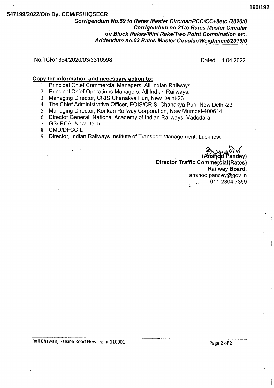# 547199/2022/O/o Dy. CCM/FS/HQSECR

# Corrigendum No.59 to Rates Master Circular/PCC/CC+8etc./2020/0 **Corrigendum no.31to Rates Master Circular** on Block Rakes/Mini Rake/Two Point Combination etc. Addendum no.03 Rates Master Circular/Weighment/2019/0

#### No.TCR/1394/2020/03/3316598

Dated: 11.04.2022

#### Copy for information and necessary action to:

- 1. Principal Chief Commercial Managers, All Indian Railways.
- 2. Principal Chief Operations Managers, All Indian Railways.
- 3. Managing Director, CRIS Chanakya Puri, New Delhi-23.
- 4. The Chief Administrative Officer, FOIS/CRIS, Chanakya Puri, New Delhi-23.
- 5. Managing Director, Konkan Railway Corporation, New Mumbai-400614.
- 6. Director General, National Academy of Indian Railways, Vadodara.
- 7. GS/IRCA, New Delhi.
- 8. CMD/DFCCIL
- 9. Director, Indian Railways Institute of Transport Management, Lucknow.

Director Traffic Commercial(Rates) Railway Board. anshoo.pandev@gov.in 011-2304 7359

Rail Bhawan, Raisina Road New Delhi-110001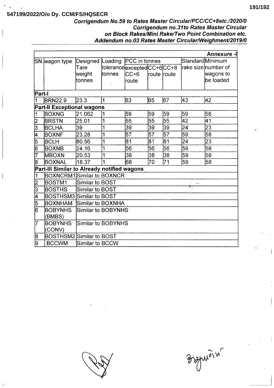#### **191/192**

# **547199/2022/O/o Dy. CCM/FS/HQSECR**

## Corrigendum No.59 to Rates Master Circular/PCC/CC+8etc./2020/0 **Corrigendum no.31to Rates Master Circular** on Block Rakes/Mini Rake/Two Point Combination etc. Addendum no.03 Rates Master Circular/Weighment/2019/0

| <b>Annexure -I</b>                          |                                 |                                   |                            |                 |                 |                 |                 |                     |
|---------------------------------------------|---------------------------------|-----------------------------------|----------------------------|-----------------|-----------------|-----------------|-----------------|---------------------|
| SN. wagon type_                             |                                 | Designed Loading                  |                            | PCC in tonnes   |                 |                 |                 | Standard Minimum    |
|                                             |                                 | Tare                              | tolerancelexceptedCC+6CC+8 |                 |                 |                 |                 | rake size number of |
|                                             |                                 | weight                            | ltonnes                    | lCC+6           | route route     |                 |                 | wagons to           |
|                                             |                                 | ltonnes                           |                            | lroute          |                 |                 |                 | be loaded           |
|                                             |                                 |                                   |                            |                 |                 |                 |                 |                     |
| Part-l                                      |                                 |                                   |                            |                 |                 |                 |                 |                     |
|                                             | <b>BRN22.9</b>                  | 23.3                              | $\overline{\mathbf{1}}$    | 63              | 165             | 67              | 43              | 42                  |
| Part-II Exceptional wagons                  |                                 |                                   |                            |                 |                 |                 |                 |                     |
| 1                                           | <b>BOXNG</b>                    | 21.062                            | 1                          | 59              | 59              | 59              | 59              | 58                  |
| $\overline{\mathsf{2}}$                     | <b>BRSTN</b>                    | 25.01                             | 1                          | $\overline{55}$ | 55              | $\overline{55}$ | 42              | 41                  |
| 3                                           | <b>BCLHA</b>                    | 39                                | 1                          | 39              | 39              | 39              | 24              | 23                  |
| 4                                           | <b>BOXNF</b>                    | 23.28                             | 1                          | 57              | $\overline{57}$ | $\overline{57}$ | $\overline{59}$ | 58                  |
| 5                                           | IBCLH                           | 80.56                             | 1                          | 81              | 81              | $\overline{81}$ | 24              | 23                  |
| 6                                           | <b>BOXNB</b>                    | 24.16                             | 1                          | 56              | 56              | $\overline{56}$ | 59              | 58                  |
| 17                                          | <b>MBOXN</b>                    | 20.53                             | 1                          | 38              | 38              | 38              | 59              | 58                  |
| 18                                          | <b>BOXNAL</b>                   | 18.37                             | 1                          | 68              | 70              | 71              | 59              | 58                  |
| Part-III Similar to Already notified wagons |                                 |                                   |                            |                 |                 |                 |                 |                     |
| 1                                           |                                 | <b>BOXNCRM1</b> Similar to BOXNCR |                            |                 |                 |                 |                 |                     |
| $\overline{2}$                              | BOSTM1                          | <b>Similar to BOST</b>            |                            |                 |                 |                 |                 |                     |
| $\overline{3}$                              | <b>BOSTHS</b>                   | <b>Similar to BOST</b>            |                            |                 |                 |                 |                 |                     |
| $\overline{\mathsf{4}}$                     | <b>BOSTHSM3 Similar to BOST</b> |                                   |                            |                 |                 |                 |                 |                     |
| 5                                           | BOXNHAM                         | Similar to BOXNHA                 |                            |                 |                 |                 |                 |                     |
| l6                                          | <b>BOBYNHS</b>                  | Similar to BOBYNHS                |                            |                 |                 |                 |                 |                     |
|                                             | (BMBS)                          |                                   |                            |                 |                 |                 |                 |                     |
| 17                                          | <b>BOBYNHS</b>                  | Similar to BOBYNHS                |                            |                 |                 |                 |                 |                     |
|                                             | (CONV)                          |                                   |                            |                 |                 |                 |                 |                     |
| 18                                          | <b>BOSTHSM2</b> Similar to BOST |                                   |                            |                 |                 |                 |                 |                     |
| 9                                           | <b>BCCWM</b>                    | Similar to BCCW                   |                            |                 |                 |                 |                 |                     |

Bispuroin